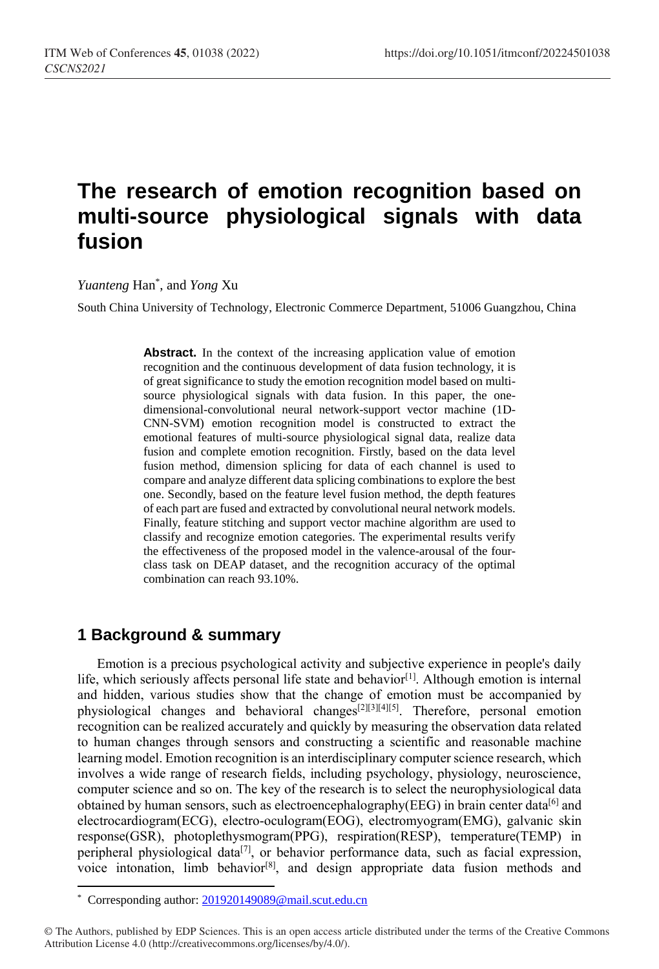# **The research of emotion recognition based on multi-source physiological signals with data fusion**

*Yuanteng* Han\* , and *Yong* Xu

South China University of Technology, Electronic Commerce Department, 51006 Guangzhou, China

Abstract. In the context of the increasing application value of emotion recognition and the continuous development of data fusion technology, it is of great significance to study the emotion recognition model based on multisource physiological signals with data fusion. In this paper, the onedimensional-convolutional neural network-support vector machine (1D-CNN-SVM) emotion recognition model is constructed to extract the emotional features of multi-source physiological signal data, realize data fusion and complete emotion recognition. Firstly, based on the data level fusion method, dimension splicing for data of each channel is used to compare and analyze different data splicing combinations to explore the best one. Secondly, based on the feature level fusion method, the depth features of each part are fused and extracted by convolutional neural network models. Finally, feature stitching and support vector machine algorithm are used to classify and recognize emotion categories. The experimental results verify the effectiveness of the proposed model in the valence-arousal of the fourclass task on DEAP dataset, and the recognition accuracy of the optimal combination can reach 93.10%.

# **1 Background & summary**

Emotion is a precious psychological activity and subjective experience in people's daily life, which seriously affects personal life state and behavior<sup>[1]</sup>. Although emotion is internal and hidden, various studies show that the change of emotion must be accompanied by physiological changes and behavioral changes<sup>[2][3][4][5]</sup>. Therefore, personal emotion recognition can be realized accurately and quickly by measuring the observation data related to human changes through sensors and constructing a scientific and reasonable machine learning model. Emotion recognition is an interdisciplinary computer science research, which involves a wide range of research fields, including psychology, physiology, neuroscience, computer science and so on. The key of the research is to select the neurophysiological data obtained by human sensors, such as electroencephalography(EEG) in brain center data<sup>[6]</sup> and electrocardiogram(ECG), electro-oculogram(EOG), electromyogram(EMG), galvanic skin response(GSR), photoplethysmogram(PPG), respiration(RESP), temperature(TEMP) in peripheral physiological data<sup>[7]</sup>, or behavior performance data, such as facial expression, voice intonation, limb behavior<sup>[8]</sup>, and design appropriate data fusion methods and

 $\overline{a}$ 

<sup>\*</sup> Corresponding author: [201920149089@mail.scut.edu.cn](mailto:201920149089@mail.scut.edu.cn)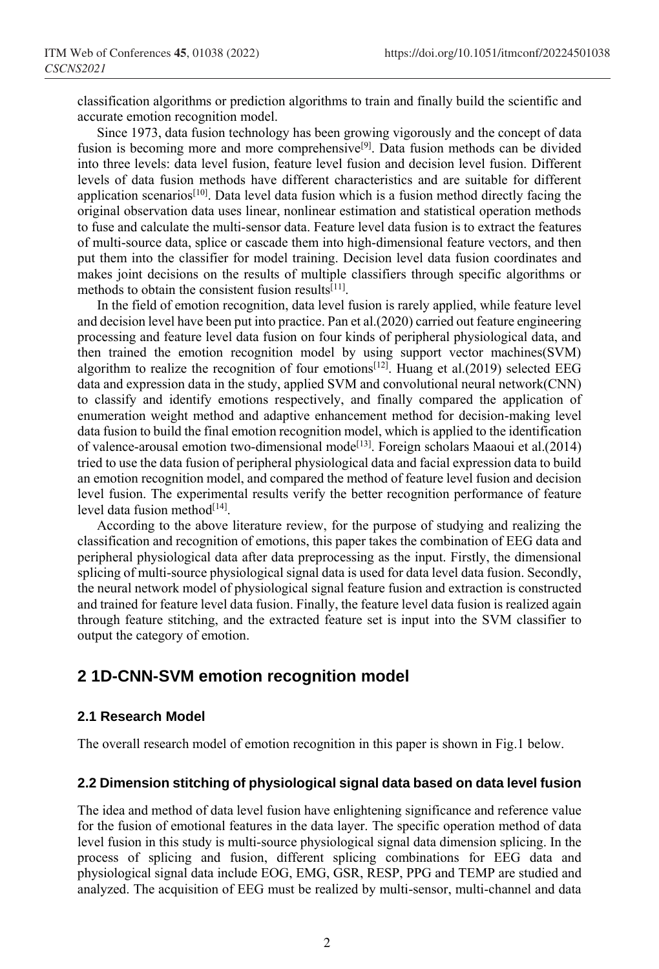classification algorithms or prediction algorithms to train and finally build the scientific and accurate emotion recognition model.

Since 1973, data fusion technology has been growing vigorously and the concept of data fusion is becoming more and more comprehensive<sup>[9]</sup>. Data fusion methods can be divided into three levels: data level fusion, feature level fusion and decision level fusion. Different levels of data fusion methods have different characteristics and are suitable for different application scenarios<sup>[10]</sup>. Data level data fusion which is a fusion method directly facing the original observation data uses linear, nonlinear estimation and statistical operation methods to fuse and calculate the multi-sensor data. Feature level data fusion is to extract the features of multi-source data, splice or cascade them into high-dimensional feature vectors, and then put them into the classifier for model training. Decision level data fusion coordinates and makes joint decisions on the results of multiple classifiers through specific algorithms or methods to obtain the consistent fusion results<sup>[11]</sup>.

In the field of emotion recognition, data level fusion is rarely applied, while feature level and decision level have been put into practice. Pan et al.(2020) carried out feature engineering processing and feature level data fusion on four kinds of peripheral physiological data, and then trained the emotion recognition model by using support vector machines(SVM) algorithm to realize the recognition of four emotions<sup>[12]</sup>. Huang et al.(2019) selected EEG data and expression data in the study, applied SVM and convolutional neural network(CNN) to classify and identify emotions respectively, and finally compared the application of enumeration weight method and adaptive enhancement method for decision-making level data fusion to build the final emotion recognition model, which is applied to the identification of valence-arousal emotion two-dimensional mode<sup>[13]</sup>. Foreign scholars Maaoui et al.(2014) tried to use the data fusion of peripheral physiological data and facial expression data to build an emotion recognition model, and compared the method of feature level fusion and decision level fusion. The experimental results verify the better recognition performance of feature level data fusion method<sup>[14]</sup>.

According to the above literature review, for the purpose of studying and realizing the classification and recognition of emotions, this paper takes the combination of EEG data and peripheral physiological data after data preprocessing as the input. Firstly, the dimensional splicing of multi-source physiological signal data is used for data level data fusion. Secondly, the neural network model of physiological signal feature fusion and extraction is constructed and trained for feature level data fusion. Finally, the feature level data fusion is realized again through feature stitching, and the extracted feature set is input into the SVM classifier to output the category of emotion.

# **2 1D-CNN-SVM emotion recognition model**

#### **2.1 Research Model**

The overall research model of emotion recognition in this paper is shown in Fig.1 below.

#### **2.2 Dimension stitching of physiological signal data based on data level fusion**

The idea and method of data level fusion have enlightening significance and reference value for the fusion of emotional features in the data layer. The specific operation method of data level fusion in this study is multi-source physiological signal data dimension splicing. In the process of splicing and fusion, different splicing combinations for EEG data and physiological signal data include EOG, EMG, GSR, RESP, PPG and TEMP are studied and analyzed. The acquisition of EEG must be realized by multi-sensor, multi-channel and data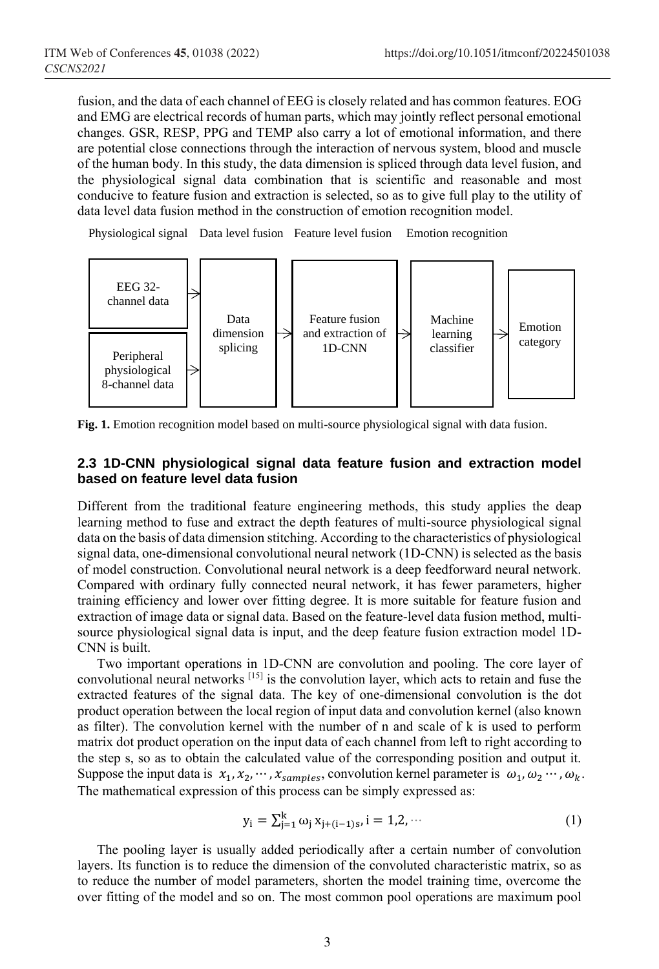fusion, and the data of each channel of EEG is closely related and has common features. EOG and EMG are electrical records of human parts, which may jointly reflect personal emotional changes. GSR, RESP, PPG and TEMP also carry a lot of emotional information, and there are potential close connections through the interaction of nervous system, blood and muscle of the human body. In this study, the data dimension is spliced through data level fusion, and the physiological signal data combination that is scientific and reasonable and most conducive to feature fusion and extraction is selected, so as to give full play to the utility of data level data fusion method in the construction of emotion recognition model.

Physiological signal Data level fusion Feature level fusion Emotion recognition



**Fig. 1.** Emotion recognition model based on multi-source physiological signal with data fusion.

#### **2.3 1D-CNN physiological signal data feature fusion and extraction model based on feature level data fusion**

Different from the traditional feature engineering methods, this study applies the deap learning method to fuse and extract the depth features of multi-source physiological signal data on the basis of data dimension stitching. According to the characteristics of physiological signal data, one-dimensional convolutional neural network (1D-CNN) is selected as the basis of model construction. Convolutional neural network is a deep feedforward neural network. Compared with ordinary fully connected neural network, it has fewer parameters, higher training efficiency and lower over fitting degree. It is more suitable for feature fusion and extraction of image data or signal data. Based on the feature-level data fusion method, multisource physiological signal data is input, and the deep feature fusion extraction model 1D-CNN is built.

Two important operations in 1D-CNN are convolution and pooling. The core layer of convolutional neural networks [15] is the convolution layer, which acts to retain and fuse the extracted features of the signal data. The key of one-dimensional convolution is the dot product operation between the local region of input data and convolution kernel (also known as filter). The convolution kernel with the number of n and scale of k is used to perform matrix dot product operation on the input data of each channel from left to right according to the step s, so as to obtain the calculated value of the corresponding position and output it. Suppose the input data is  $x_1, x_2, \dots, x_{samples}$ , convolution kernel parameter is  $\omega_1, \omega_2 \dots, \omega_k$ . The mathematical expression of this process can be simply expressed as:

$$
y_i = \sum_{j=1}^{k} \omega_j x_{j+(i-1)s}, i = 1,2,\cdots
$$
 (1)

The pooling layer is usually added periodically after a certain number of convolution layers. Its function is to reduce the dimension of the convoluted characteristic matrix, so as to reduce the number of model parameters, shorten the model training time, overcome the over fitting of the model and so on. The most common pool operations are maximum pool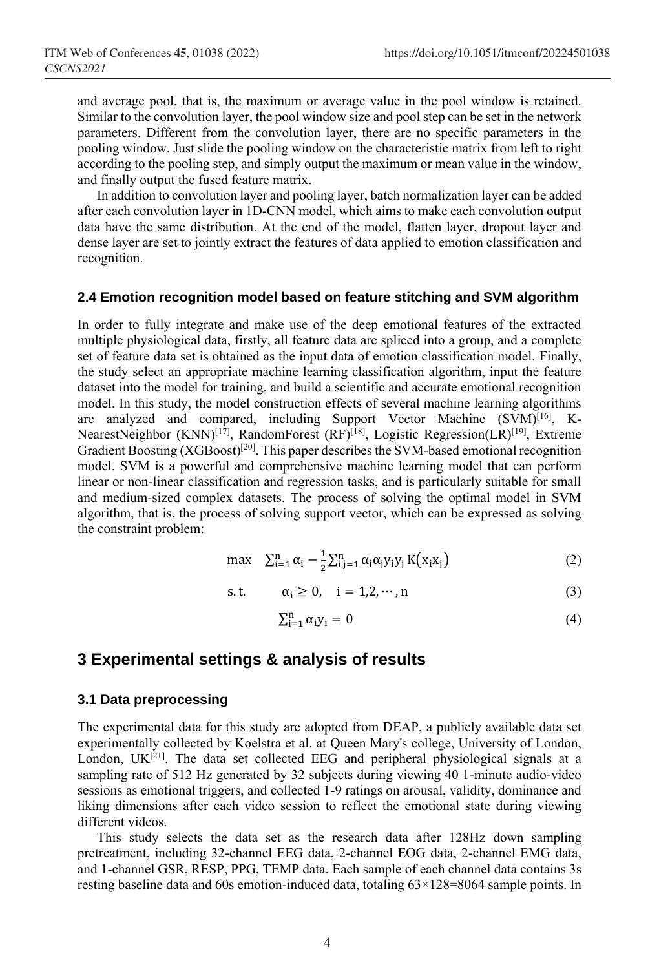and average pool, that is, the maximum or average value in the pool window is retained. Similar to the convolution layer, the pool window size and pool step can be set in the network parameters. Different from the convolution layer, there are no specific parameters in the pooling window. Just slide the pooling window on the characteristic matrix from left to right according to the pooling step, and simply output the maximum or mean value in the window, and finally output the fused feature matrix.

In addition to convolution layer and pooling layer, batch normalization layer can be added after each convolution layer in 1D-CNN model, which aims to make each convolution output data have the same distribution. At the end of the model, flatten layer, dropout layer and dense layer are set to jointly extract the features of data applied to emotion classification and recognition.

#### **2.4 Emotion recognition model based on feature stitching and SVM algorithm**

In order to fully integrate and make use of the deep emotional features of the extracted multiple physiological data, firstly, all feature data are spliced into a group, and a complete set of feature data set is obtained as the input data of emotion classification model. Finally, the study select an appropriate machine learning classification algorithm, input the feature dataset into the model for training, and build a scientific and accurate emotional recognition model. In this study, the model construction effects of several machine learning algorithms are analyzed and compared, including Support Vector Machine (SVM)<sup>[16]</sup>, K-NearestNeighbor (KNN)<sup>[17]</sup>, RandomForest (RF)<sup>[18]</sup>, Logistic Regression(LR)<sup>[19]</sup>, Extreme Gradient Boosting (XGBoost)<sup>[20]</sup>. This paper describes the SVM-based emotional recognition model. SVM is a powerful and comprehensive machine learning model that can perform linear or non-linear classification and regression tasks, and is particularly suitable for small and medium-sized complex datasets. The process of solving the optimal model in SVM algorithm, that is, the process of solving support vector, which can be expressed as solving the constraint problem:

$$
\max \quad \sum_{i=1}^{n} \alpha_i - \frac{1}{2} \sum_{i,j=1}^{n} \alpha_i \alpha_j y_i y_j K(x_i x_j)
$$
 (2)

$$
s.t. \qquad \alpha_i \ge 0, \quad i = 1, 2, \cdots, n \tag{3}
$$

$$
\sum_{i=1}^{n} \alpha_i y_i = 0 \tag{4}
$$

# **3 Experimental settings & analysis of results**

#### **3.1 Data preprocessing**

The experimental data for this study are adopted from DEAP, a publicly available data set experimentally collected by Koelstra et al. at Queen Mary's college, University of London, London,  $UK^{[21]}$ . The data set collected EEG and peripheral physiological signals at a sampling rate of 512 Hz generated by 32 subjects during viewing 40 1-minute audio-video sessions as emotional triggers, and collected 1-9 ratings on arousal, validity, dominance and liking dimensions after each video session to reflect the emotional state during viewing different videos.

This study selects the data set as the research data after 128Hz down sampling pretreatment, including 32-channel EEG data, 2-channel EOG data, 2-channel EMG data, and 1-channel GSR, RESP, PPG, TEMP data. Each sample of each channel data contains 3s resting baseline data and 60s emotion-induced data, totaling 63×128=8064 sample points. In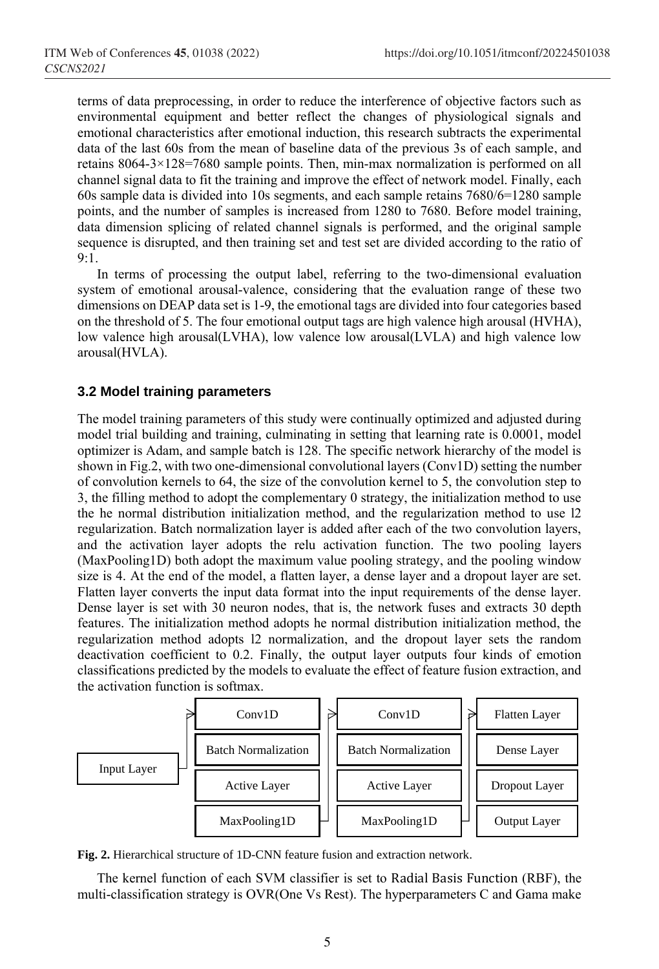terms of data preprocessing, in order to reduce the interference of objective factors such as environmental equipment and better reflect the changes of physiological signals and emotional characteristics after emotional induction, this research subtracts the experimental data of the last 60s from the mean of baseline data of the previous 3s of each sample, and retains 8064-3×128=7680 sample points. Then, min-max normalization is performed on all channel signal data to fit the training and improve the effect of network model. Finally, each 60s sample data is divided into 10s segments, and each sample retains 7680/6=1280 sample points, and the number of samples is increased from 1280 to 7680. Before model training, data dimension splicing of related channel signals is performed, and the original sample sequence is disrupted, and then training set and test set are divided according to the ratio of  $9.1$ 

In terms of processing the output label, referring to the two-dimensional evaluation system of emotional arousal-valence, considering that the evaluation range of these two dimensions on DEAP data set is 1-9, the emotional tags are divided into four categories based on the threshold of 5. The four emotional output tags are high valence high arousal (HVHA), low valence high arousal(LVHA), low valence low arousal(LVLA) and high valence low arousal(HVLA).

#### **3.2 Model training parameters**

The model training parameters of this study were continually optimized and adjusted during model trial building and training, culminating in setting that learning rate is 0.0001, model optimizer is Adam, and sample batch is 128. The specific network hierarchy of the model is shown in Fig.2, with two one-dimensional convolutional layers (Conv1D) setting the number of convolution kernels to 64, the size of the convolution kernel to 5, the convolution step to 3, the filling method to adopt the complementary 0 strategy, the initialization method to use the he normal distribution initialization method, and the regularization method to use l2 regularization. Batch normalization layer is added after each of the two convolution layers, and the activation layer adopts the relu activation function. The two pooling layers (MaxPooling1D) both adopt the maximum value pooling strategy, and the pooling window size is 4. At the end of the model, a flatten layer, a dense layer and a dropout layer are set. Flatten layer converts the input data format into the input requirements of the dense layer. Dense layer is set with 30 neuron nodes, that is, the network fuses and extracts 30 depth features. The initialization method adopts he normal distribution initialization method, the regularization method adopts l2 normalization, and the dropout layer sets the random deactivation coefficient to 0.2. Finally, the output layer outputs four kinds of emotion classifications predicted by the models to evaluate the effect of feature fusion extraction, and the activation function is softmax.



**Fig. 2.** Hierarchical structure of 1D-CNN feature fusion and extraction network.

The kernel function of each SVM classifier is set to Radial Basis Function (RBF), the multi-classification strategy is OVR(One Vs Rest). The hyperparameters C and Gama make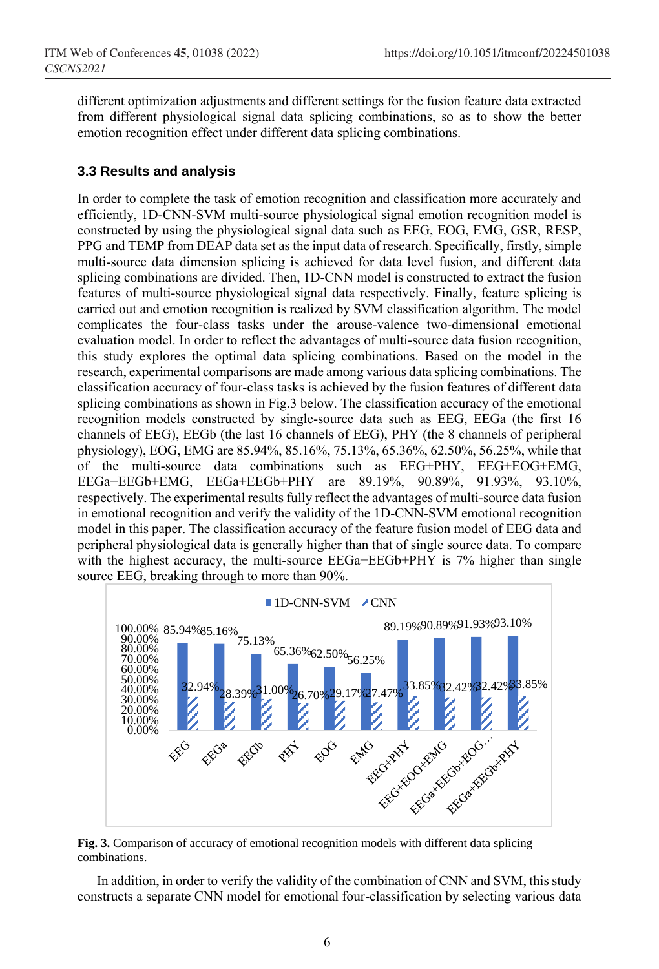different optimization adjustments and different settings for the fusion feature data extracted from different physiological signal data splicing combinations, so as to show the better emotion recognition effect under different data splicing combinations.

### **3.3 Results and analysis**

In order to complete the task of emotion recognition and classification more accurately and efficiently, 1D-CNN-SVM multi-source physiological signal emotion recognition model is constructed by using the physiological signal data such as EEG, EOG, EMG, GSR, RESP, PPG and TEMP from DEAP data set as the input data of research. Specifically, firstly, simple multi-source data dimension splicing is achieved for data level fusion, and different data splicing combinations are divided. Then, 1D-CNN model is constructed to extract the fusion features of multi-source physiological signal data respectively. Finally, feature splicing is carried out and emotion recognition is realized by SVM classification algorithm. The model complicates the four-class tasks under the arouse-valence two-dimensional emotional evaluation model. In order to reflect the advantages of multi-source data fusion recognition, this study explores the optimal data splicing combinations. Based on the model in the research, experimental comparisons are made among various data splicing combinations. The classification accuracy of four-class tasks is achieved by the fusion features of different data splicing combinations as shown in Fig.3 below. The classification accuracy of the emotional recognition models constructed by single-source data such as EEG, EEGa (the first 16 channels of EEG), EEGb (the last 16 channels of EEG), PHY (the 8 channels of peripheral physiology), EOG, EMG are 85.94%, 85.16%, 75.13%, 65.36%, 62.50%, 56.25%, while that of the multi-source data combinations such as EEG+PHY, EEG+EOG+EMG, EEGa+EEGb+EMG, EEGa+EEGb+PHY are 89.19%, 90.89%, 91.93%, 93.10%, respectively. The experimental results fully reflect the advantages of multi-source data fusion in emotional recognition and verify the validity of the 1D-CNN-SVM emotional recognition model in this paper. The classification accuracy of the feature fusion model of EEG data and peripheral physiological data is generally higher than that of single source data. To compare with the highest accuracy, the multi-source EEGa+EEGb+PHY is 7% higher than single source EEG, breaking through to more than 90%.



**Fig. 3.** Comparison of accuracy of emotional recognition models with different data splicing combinations.

In addition, in order to verify the validity of the combination of CNN and SVM, this study constructs a separate CNN model for emotional four-classification by selecting various data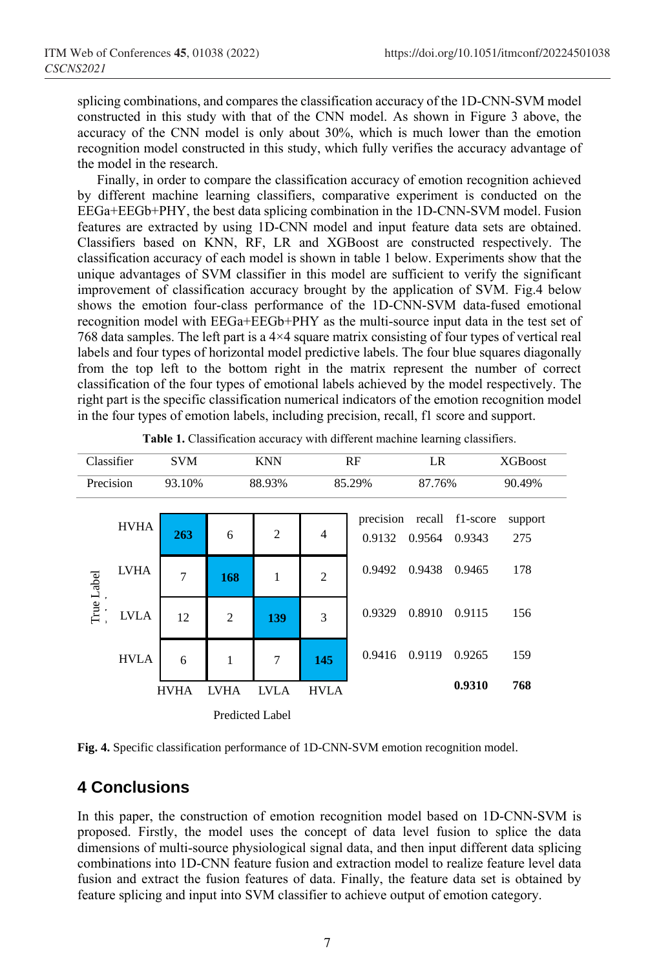splicing combinations, and compares the classification accuracy of the 1D-CNN-SVM model constructed in this study with that of the CNN model. As shown in Figure 3 above, the accuracy of the CNN model is only about 30%, which is much lower than the emotion recognition model constructed in this study, which fully verifies the accuracy advantage of the model in the research.

Finally, in order to compare the classification accuracy of emotion recognition achieved by different machine learning classifiers, comparative experiment is conducted on the EEGa+EEGb+PHY, the best data splicing combination in the 1D-CNN-SVM model. Fusion features are extracted by using 1D-CNN model and input feature data sets are obtained. Classifiers based on KNN, RF, LR and XGBoost are constructed respectively. The classification accuracy of each model is shown in table 1 below. Experiments show that the unique advantages of SVM classifier in this model are sufficient to verify the significant improvement of classification accuracy brought by the application of SVM. Fig.4 below shows the emotion four-class performance of the 1D-CNN-SVM data-fused emotional recognition model with EEGa+EEGb+PHY as the multi-source input data in the test set of 768 data samples. The left part is a 4×4 square matrix consisting of four types of vertical real labels and four types of horizontal model predictive labels. The four blue squares diagonally from the top left to the bottom right in the matrix represent the number of correct classification of the four types of emotional labels achieved by the model respectively. The right part is the specific classification numerical indicators of the emotion recognition model in the four types of emotion labels, including precision, recall, f1 score and support.

| Classifier |             | <b>SVM</b> |                 | <b>KNN</b>     | RF             |                     | LR     |                           | <b>XGBoost</b> |
|------------|-------------|------------|-----------------|----------------|----------------|---------------------|--------|---------------------------|----------------|
| Precision  |             | 93.10%     | 88.93%          |                | 85.29%         |                     | 87.76% |                           | 90.49%         |
| True Label | <b>HVHA</b> | 263        | 6               | $\overline{2}$ | $\overline{4}$ | precision<br>0.9132 | 0.9564 | recall f1-score<br>0.9343 | support<br>275 |
|            | <b>LVHA</b> | 7          | 168             | $\mathbf{1}$   | $\overline{2}$ | 0.9492              | 0.9438 | 0.9465                    | 178            |
|            | <b>LVLA</b> | 12         | $\overline{2}$  | 139            | 3              | 0.9329              | 0.8910 | 0.9115                    | 156            |
|            | <b>HVLA</b> | 6          | 1               | 7              | 145            | 0.9416              | 0.9119 | 0.9265                    | 159            |
|            | <b>HVHA</b> |            | <b>LVHA</b>     | <b>LVLA</b>    | <b>HVLA</b>    |                     |        | 0.9310                    | 768            |
|            |             |            | Predicted Label |                |                |                     |        |                           |                |

|  | Table 1. Classification accuracy with different machine learning classifiers. |  |  |  |
|--|-------------------------------------------------------------------------------|--|--|--|
|  |                                                                               |  |  |  |

**Fig. 4.** Specific classification performance of 1D-CNN-SVM emotion recognition model.

# **4 Conclusions**

In this paper, the construction of emotion recognition model based on 1D-CNN-SVM is proposed. Firstly, the model uses the concept of data level fusion to splice the data dimensions of multi-source physiological signal data, and then input different data splicing combinations into 1D-CNN feature fusion and extraction model to realize feature level data fusion and extract the fusion features of data. Finally, the feature data set is obtained by feature splicing and input into SVM classifier to achieve output of emotion category.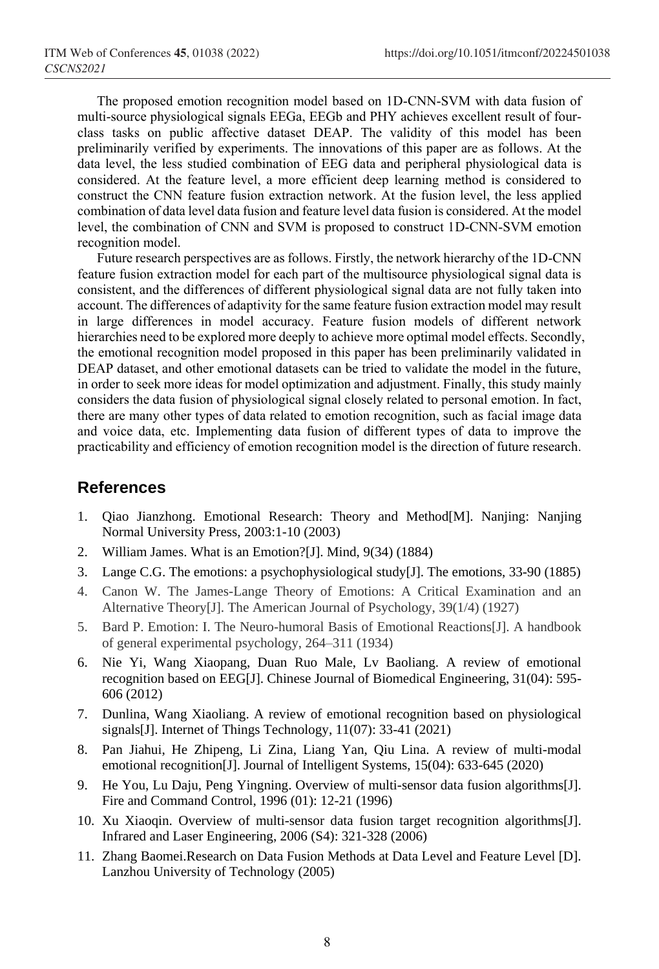The proposed emotion recognition model based on 1D-CNN-SVM with data fusion of multi-source physiological signals EEGa, EEGb and PHY achieves excellent result of fourclass tasks on public affective dataset DEAP. The validity of this model has been preliminarily verified by experiments. The innovations of this paper are as follows. At the data level, the less studied combination of EEG data and peripheral physiological data is considered. At the feature level, a more efficient deep learning method is considered to construct the CNN feature fusion extraction network. At the fusion level, the less applied combination of data level data fusion and feature level data fusion is considered. At the model level, the combination of CNN and SVM is proposed to construct 1D-CNN-SVM emotion recognition model.

Future research perspectives are as follows. Firstly, the network hierarchy of the 1D-CNN feature fusion extraction model for each part of the multisource physiological signal data is consistent, and the differences of different physiological signal data are not fully taken into account. The differences of adaptivity for the same feature fusion extraction model may result in large differences in model accuracy. Feature fusion models of different network hierarchies need to be explored more deeply to achieve more optimal model effects. Secondly, the emotional recognition model proposed in this paper has been preliminarily validated in DEAP dataset, and other emotional datasets can be tried to validate the model in the future, in order to seek more ideas for model optimization and adjustment. Finally, this study mainly considers the data fusion of physiological signal closely related to personal emotion. In fact, there are many other types of data related to emotion recognition, such as facial image data and voice data, etc. Implementing data fusion of different types of data to improve the practicability and efficiency of emotion recognition model is the direction of future research.

## **References**

- 1. Qiao Jianzhong. Emotional Research: Theory and Method[M]. Nanjing: Nanjing Normal University Press, 2003:1-10 (2003)
- 2. William James. What is an Emotion?[J]. Mind, 9(34) (1884)
- 3. Lange C.G. The emotions: a psychophysiological study[J]. The emotions, 33-90 (1885)
- 4. Canon W. The James-Lange Theory of Emotions: A Critical Examination and an Alternative Theory[J]. The American Journal of Psychology, 39(1/4) (1927)
- 5. Bard P. Emotion: I. The Neuro-humoral Basis of Emotional Reactions[J]. A handbook of general experimental psychology, 264–311 (1934)
- 6. Nie Yi, Wang Xiaopang, Duan Ruo Male, Lv Baoliang. A review of emotional recognition based on EEG[J]. Chinese Journal of Biomedical Engineering, 31(04): 595- 606 (2012)
- 7. Dunlina, Wang Xiaoliang. A review of emotional recognition based on physiological signals[J]. Internet of Things Technology, 11(07): 33-41 (2021)
- 8. Pan Jiahui, He Zhipeng, Li Zina, Liang Yan, Qiu Lina. A review of multi-modal emotional recognition<sup>[J]</sup>. Journal of Intelligent Systems, 15(04): 633-645 (2020)
- 9. He You, Lu Daju, Peng Yingning. Overview of multi-sensor data fusion algorithms[J]. Fire and Command Control, 1996 (01): 12-21 (1996)
- 10. Xu Xiaoqin. Overview of multi-sensor data fusion target recognition algorithms[J]. Infrared and Laser Engineering, 2006 (S4): 321-328 (2006)
- 11. Zhang Baomei.Research on Data Fusion Methods at Data Level and Feature Level [D]. Lanzhou University of Technology (2005)